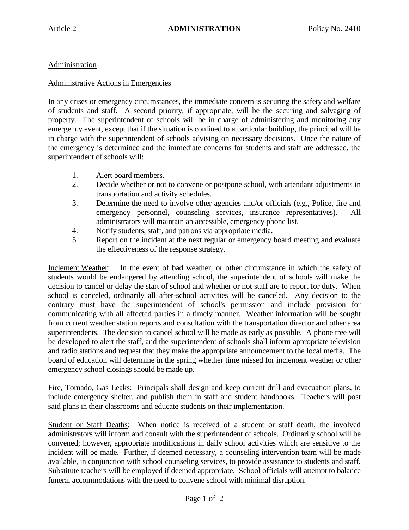## Administration

## Administrative Actions in Emergencies

In any crises or emergency circumstances, the immediate concern is securing the safety and welfare of students and staff. A second priority, if appropriate, will be the securing and salvaging of property. The superintendent of schools will be in charge of administering and monitoring any emergency event, except that if the situation is confined to a particular building, the principal will be in charge with the superintendent of schools advising on necessary decisions. Once the nature of the emergency is determined and the immediate concerns for students and staff are addressed, the superintendent of schools will:

- 1. Alert board members.
- 2. Decide whether or not to convene or postpone school, with attendant adjustments in transportation and activity schedules.
- 3. Determine the need to involve other agencies and/or officials (e.g., Police, fire and emergency personnel, counseling services, insurance representatives). All administrators will maintain an accessible, emergency phone list.
- 4. Notify students, staff, and patrons via appropriate media.
- 5. Report on the incident at the next regular or emergency board meeting and evaluate the effectiveness of the response strategy.

Inclement Weather: In the event of bad weather, or other circumstance in which the safety of students would be endangered by attending school, the superintendent of schools will make the decision to cancel or delay the start of school and whether or not staff are to report for duty. When school is canceled, ordinarily all after-school activities will be canceled. Any decision to the contrary must have the superintendent of school's permission and include provision for communicating with all affected parties in a timely manner. Weather information will be sought from current weather station reports and consultation with the transportation director and other area superintendents. The decision to cancel school will be made as early as possible. A phone tree will be developed to alert the staff, and the superintendent of schools shall inform appropriate television and radio stations and request that they make the appropriate announcement to the local media. The board of education will determine in the spring whether time missed for inclement weather or other emergency school closings should be made up.

Fire, Tornado, Gas Leaks: Principals shall design and keep current drill and evacuation plans, to include emergency shelter, and publish them in staff and student handbooks. Teachers will post said plans in their classrooms and educate students on their implementation.

Student or Staff Deaths: When notice is received of a student or staff death, the involved administrators will inform and consult with the superintendent of schools. Ordinarily school will be convened; however, appropriate modifications in daily school activities which are sensitive to the incident will be made. Further, if deemed necessary, a counseling intervention team will be made available, in conjunction with school counseling services, to provide assistance to students and staff. Substitute teachers will be employed if deemed appropriate. School officials will attempt to balance funeral accommodations with the need to convene school with minimal disruption.